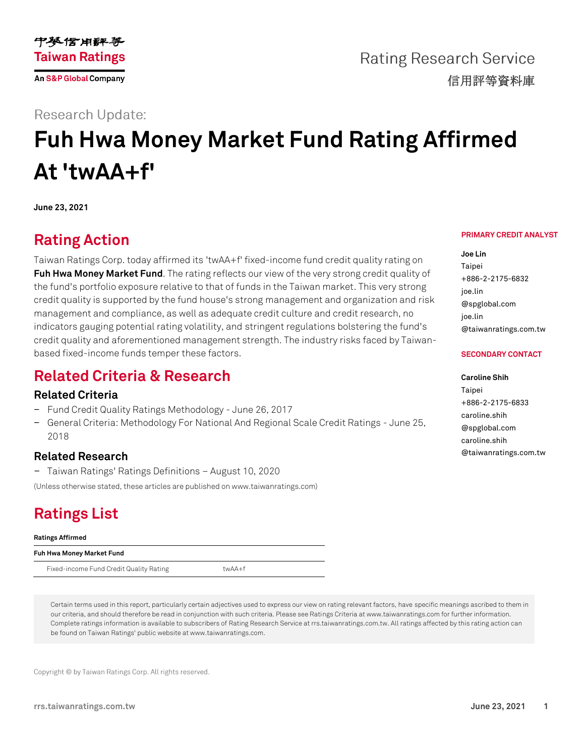

**Rating Research Service** 信用評等資料庫

### **Research Update:**

# **Fuh Hwa Money Market Fund Rating Affirmed At 'twAA+f'**

**June 23, 2021**

# **Rating Action**

Taiwan Ratings Corp. today affirmed its 'twAA+f' fixed-income fund credit quality rating on **Fuh Hwa [Money Market Fund](https://rrs.taiwanratings.com.tw/portal/member/viewFund/304)**. The rating reflects our view of the very strong credit quality of the fund's portfolio exposure relative to that of funds in the Taiwan market. This very strong credit quality is supported by the fund house's strong management and organization and risk management and compliance, as well as adequate credit culture and credit research, no indicators gauging potential rating volatility, and stringent regulations bolstering the fund's credit quality and aforementioned management strength. The industry risks faced by Taiwanbased fixed-income funds temper these factors.

## **Related Criteria & Research**

### **Related Criteria**

- − Fund Credit Quality Ratings Methodology June 26, 2017
- − General Criteria: Methodology For National And Regional Scale Credit Ratings June 25, 2018

### **Related Research**

− Taiwan Ratings' Ratings Definitions – August 10, 2020

(Unless otherwise stated, these articles are published on www.taiwanratings.com)

# **Ratings List**

### **Ratings Affirmed**

### **Fuh Hwa Money Market Fund**

Fixed-income Fund Credit Quality Rating twAA+f

Certain terms used in this report, particularly certain adjectives used to express our view on rating relevant factors, have specific meanings ascribed to them in our criteria, and should therefore be read in conjunction with such criteria. Please see Ratings Criteria at www.taiwanratings.com for further information. Complete ratings information is available to subscribers of Rating Research Service at rrs.taiwanratings.com.tw. All ratings affected by this rating action can be found on Taiwan Ratings' public website at www.taiwanratings.com.

Copyright © by Taiwan Ratings Corp. All rights reserved.

## **PRIMARY CREDIT ANALYST**

**Joe Lin**

Taipei +886-2-2175-6832 joe.lin @spglobal.com joe.lin @taiwanratings.com.tw

### **SECONDARY CONTACT**

#### **Caroline Shih**

Taipei +886-2-2175-6833 caroline.shih @spglobal.com caroline.shih @taiwanratings.com.tw